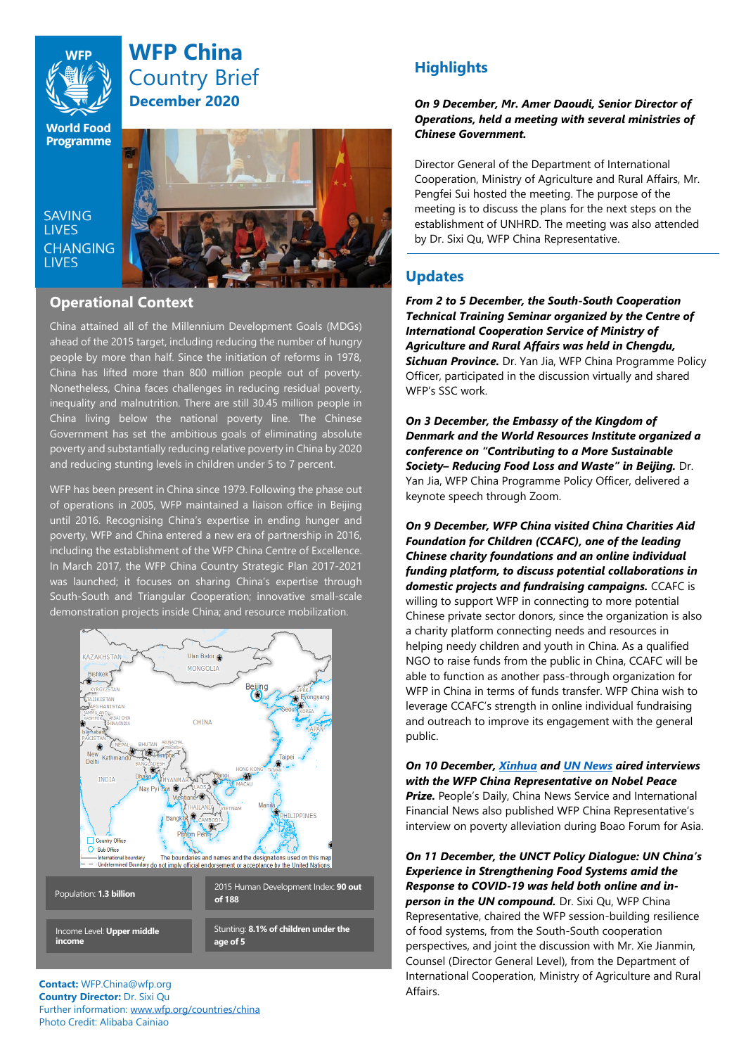

# **WFP China** Country Brief **December 2020**

**World Food Programme** 

SAVING **TIVES CHANGING LIVES** 



## **Operational Context**

China attained all of the Millennium Development Goals (MDGs) ahead of the 2015 target, including reducing the number of hungry people by more than half. Since the initiation of reforms in 1978, China has lifted more than 800 million people out of poverty. Nonetheless, China faces challenges in reducing residual poverty, inequality and malnutrition. There are still 30.45 million people in China living below the national poverty line. The Chinese Government has set the ambitious goals of eliminating absolute poverty and substantially reducing relative poverty in China by 2020 and reducing stunting levels in children under 5 to 7 percent.

WFP has been present in China since 1979. Following the phase out of operations in 2005, WFP maintained a liaison office in Beijing until 2016. Recognising China's expertise in ending hunger and poverty, WFP and China entered a new era of partnership in 2016, including the establishment of the WFP China Centre of Excellence. In March 2017, the WFP China Country Strategic Plan 2017-2021 was launched; it focuses on sharing China's expertise through South-South and Triangular Cooperation; innovative small-scale demonstration projects inside China; and resource mobilization.



#### **Contact:** WFP.China@wfp.org **Country Director:** Dr. Sixi Qu Further information: [www.wfp.org/countries/china](http://www.wfp.org/countries/china) Photo Credit: Alibaba Cainiao

## **Highlights**

*On 9 December, Mr. Amer Daoudi, Senior Director of Operations, held a meeting with several ministries of Chinese Government.* 

Director General of the Department of International Cooperation, Ministry of Agriculture and Rural Affairs, Mr. Pengfei Sui hosted the meeting. The purpose of the meeting is to discuss the plans for the next steps on the establishment of UNHRD. The meeting was also attended by Dr. Sixi Qu, WFP China Representative.

## **Updates**

*From 2 to 5 December, the South-South Cooperation Technical Training Seminar organized by the Centre of International Cooperation Service of Ministry of Agriculture and Rural Affairs was held in Chengdu, Sichuan Province.* Dr. Yan Jia, WFP China Programme Policy Officer, participated in the discussion virtually and shared WFP's SSC work.

*On 3 December, the Embassy of the Kingdom of Denmark and the World Resources Institute organized a conference on "Contributing to a More Sustainable Society– Reducing Food Loss and Waste" in Beijing.* Dr. Yan Jia, WFP China Programme Policy Officer, delivered a keynote speech through Zoom.

*On 9 December, WFP China visited China Charities Aid Foundation for Children (CCAFC), one of the leading Chinese charity foundations and an online individual funding platform, to discuss potential collaborations in domestic projects and fundraising campaigns.* CCAFC is willing to support WFP in connecting to more potential Chinese private sector donors, since the organization is also a charity platform connecting needs and resources in helping needy children and youth in China. As a qualified NGO to raise funds from the public in China, CCAFC will be able to function as another pass-through organization for WFP in China in terms of funds transfer. WFP China wish to leverage CCAFC's strength in online individual fundraising and outreach to improve its engagement with the general public.

*On 10 December, [Xinhua](http://my-h5news.app.xinhuanet.com/xhh-pc/article/?id=aa627c12a6ec9366ed345c7d34fc9d8c) an[d UN News](https://mp.weixin.qq.com/s/05w_t4SI-KYoEuupuMgB1A) aired interviews with the WFP China Representative on Nobel Peace*  **Prize.** People's Daily, China News Service and International Financial News also published WFP China Representative's interview on poverty alleviation during Boao Forum for Asia.

*On 11 December, the UNCT Policy Dialogue: UN China's Experience in Strengthening Food Systems amid the Response to COVID-19 was held both online and inperson in the UN compound.* Dr. Sixi Qu, WFP China Representative, chaired the WFP session-building resilience of food systems, from the South-South cooperation perspectives, and joint the discussion with Mr. Xie Jianmin, Counsel (Director General Level), from the Department of International Cooperation, Ministry of Agriculture and Rural Affairs.